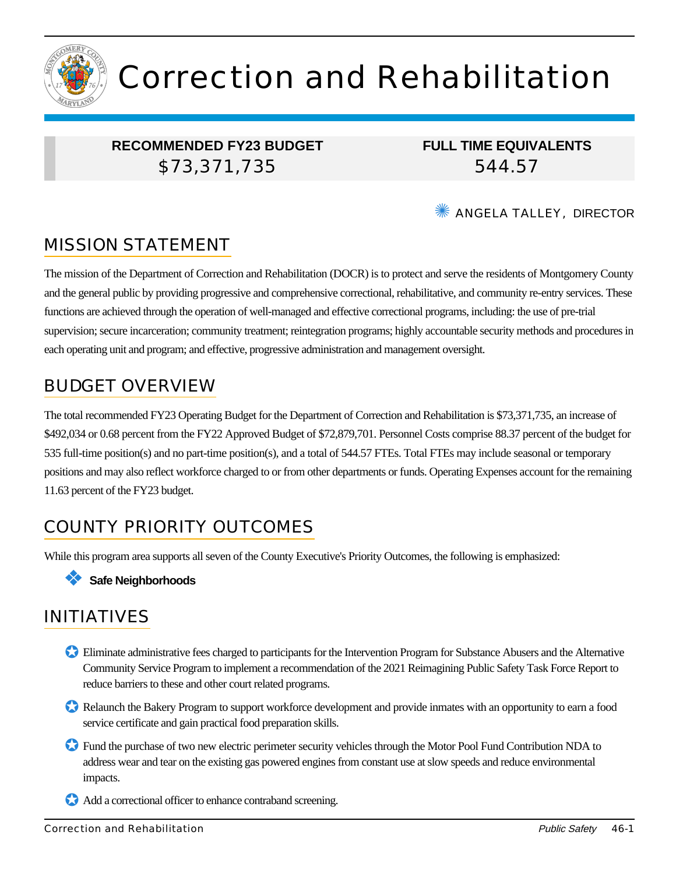

# Correction and Rehabilitation

# **RECOMMENDED FY23 BUDGET** \$73,371,735

**FULL TIME EQUIVALENTS** 544.57

#### **WE ANGELA TALLEY, DIRECTOR**

# MISSION STATEMENT

The mission of the Department of Correction and Rehabilitation (DOCR) is to protect and serve the residents of Montgomery County and the general public by providing progressive and comprehensive correctional, rehabilitative, and community re-entry services. These functions are achieved through the operation of well-managed and effective correctional programs, including: the use of pre-trial supervision; secure incarceration; community treatment; reintegration programs; highly accountable security methods and procedures in each operating unit and program; and effective, progressive administration and management oversight.

# BUDGET OVERVIEW

The total recommended FY23 Operating Budget for the Department of Correction and Rehabilitation is \$73,371,735, an increase of \$492,034 or 0.68 percent from the FY22 Approved Budget of \$72,879,701. Personnel Costs comprise 88.37 percent of the budget for 535 full-time position(s) and no part-time position(s), and a total of 544.57 FTEs. Total FTEs may include seasonal or temporary positions and may also reflect workforce charged to or from other departments or funds. Operating Expenses account for the remaining 11.63 percent of the FY23 budget.

# COUNTY PRIORITY OUTCOMES

While this program area supports all seven of the County Executive's Priority Outcomes, the following is emphasized:

#### ❖ **Safe Neighborhoods**

# INITIATIVES

- ✪ Eliminate administrative fees charged to participants for the Intervention Program for Substance Abusers and the Alternative Community Service Program to implement a recommendation of the 2021 Reimagining Public Safety Task Force Report to reduce barriers to these and other court related programs.
- ✪ Relaunch the Bakery Program to support workforce development and provide inmates with an opportunity to earn a food service certificate and gain practical food preparation skills.
- ✪ Fund the purchase of two new electric perimeter security vehicles through the Motor Pool Fund Contribution NDA to address wear and tear on the existing gas powered engines from constant use at slow speeds and reduce environmental impacts.
- Add a correctional officer to enhance contraband screening.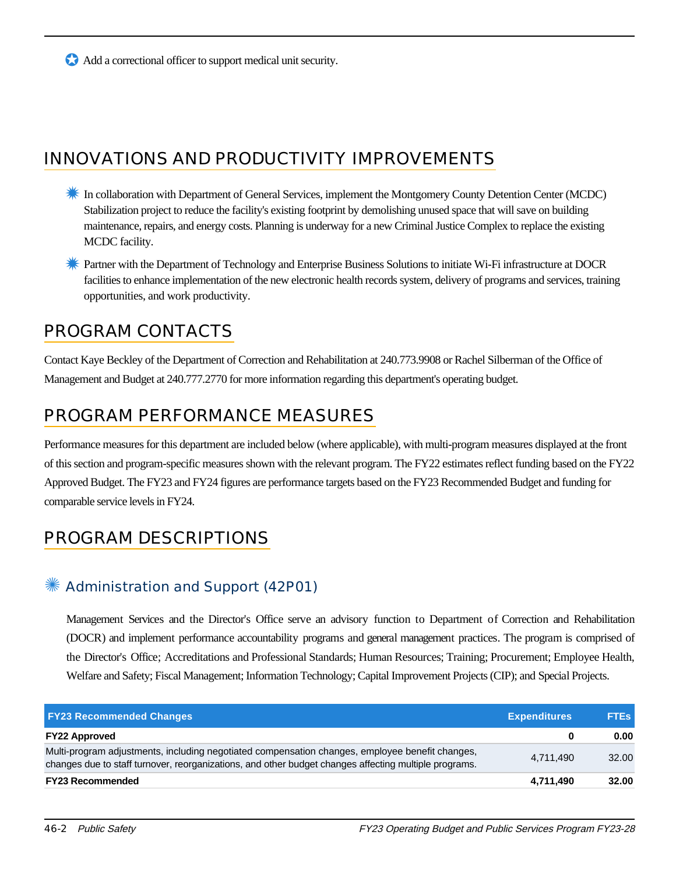✪ Add a correctional officer to support medical unit security.

# INNOVATIONS AND PRODUCTIVITY IMPROVEMENTS

- <del></del> In collaboration with Department of General Services, implement the Montgomery County Detention Center (MCDC) Stabilization project to reduce the facility's existing footprint by demolishing unused space that will save on building maintenance, repairs, and energy costs. Planning is underway for a new Criminal Justice Complex to replace the existing MCDC facility.
- **Extract with the Department of Technology and Enterprise Business Solutions to initiate Wi-Fi infrastructure at DOCR** facilities to enhance implementation of the new electronic health records system, delivery of programs and services, training opportunities, and work productivity.

# PROGRAM CONTACTS

Contact Kaye Beckley of the Department of Correction and Rehabilitation at 240.773.9908 or Rachel Silberman of the Office of Management and Budget at 240.777.2770 for more information regarding this department's operating budget.

# PROGRAM PERFORMANCE MEASURES

Performance measures for this department are included below (where applicable), with multi-program measures displayed at the front of this section and program-specific measures shown with the relevant program. The FY22 estimates reflect funding based on the FY22 Approved Budget. The FY23 and FY24 figures are performance targets based on the FY23 Recommended Budget and funding for comparable service levels in FY24.

# PROGRAM DESCRIPTIONS

# ✺ Administration and Support (42P01)

Management Services and the Director's Office serve an advisory function to Department of Correction and Rehabilitation (DOCR) and implement performance accountability programs and general management practices. The program is comprised of the Director's Office; Accreditations and Professional Standards; Human Resources; Training; Procurement; Employee Health, Welfare and Safety; Fiscal Management; Information Technology; Capital Improvement Projects (CIP); and Special Projects.

| <b>FY23 Recommended Changes</b>                                                                                                                                                                          | <b>Expenditures</b> | <b>FTES</b> |
|----------------------------------------------------------------------------------------------------------------------------------------------------------------------------------------------------------|---------------------|-------------|
| <b>FY22 Approved</b>                                                                                                                                                                                     |                     | 0.00        |
| Multi-program adjustments, including negotiated compensation changes, employee benefit changes,<br>changes due to staff turnover, reorganizations, and other budget changes affecting multiple programs. | 4.711.490           | 32.00       |
| <b>FY23 Recommended</b>                                                                                                                                                                                  | 4,711,490           | 32.00       |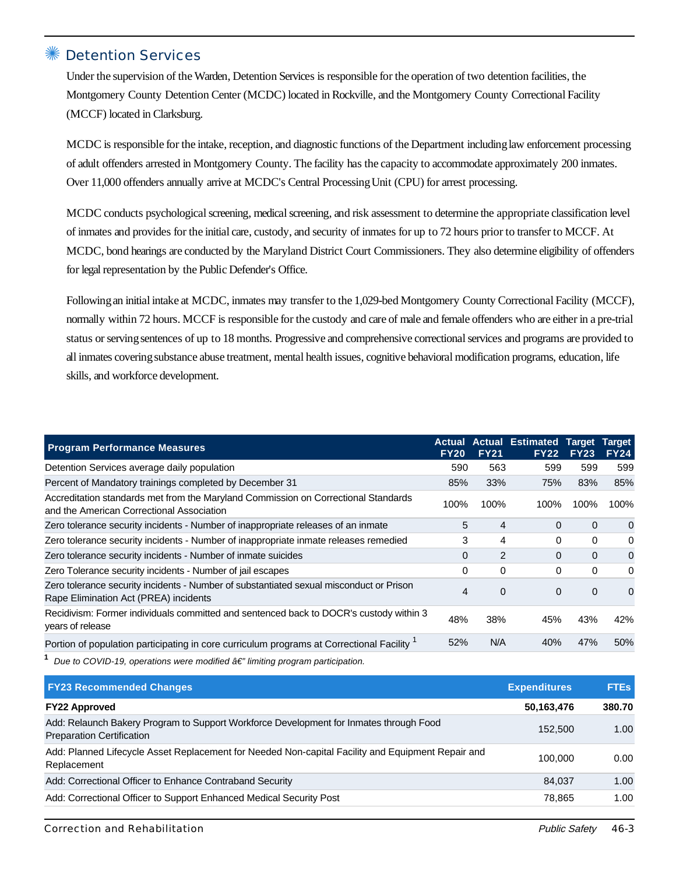#### Detention Services

Under the supervision of the Warden, Detention Services is responsible for the operation of two detention facilities, the Montgomery County Detention Center (MCDC) located in Rockville, and the Montgomery County Correctional Facility (MCCF) located in Clarksburg.

MCDC is responsible for the intake, reception, and diagnostic functions of the Department includinglaw enforcement processing of adult offenders arrested in Montgomery County. The facility has the capacity to accommodate approximately 200 inmates. Over 11,000 offenders annually arrive at MCDC's Central Processing Unit (CPU) for arrest processing.

MCDC conducts psychological screening, medical screening, and risk assessment to determine the appropriate classification level of inmates and provides for the initial care, custody, and security of inmates for up to 72 hours prior to transfer to MCCF. At MCDC, bond hearings are conducted by the Maryland District Court Commissioners. They also determine eligibility of offenders for legal representation by the Public Defender's Office.

Followingan initial intake at MCDC, inmates may transfer to the 1,029-bed Montgomery County Correctional Facility (MCCF), normally within 72 hours. MCCF is responsible for the custody and care of male and female offenders who are either in a pre-trial status or serving sentences of up to 18 months. Progressive and comprehensive correctional services and programs are provided to all inmates coveringsubstance abuse treatment, mental health issues, cognitive behavioral modification programs, education, life skills, and workforce development.

| <b>Program Performance Measures</b>                                                                                              | <b>Actual</b><br><b>FY20</b> | <b>FY21</b>  | <b>Actual Estimated</b><br><b>FY22</b> | <b>Target</b><br><b>FY23</b> | Target<br><b>FY24</b> |
|----------------------------------------------------------------------------------------------------------------------------------|------------------------------|--------------|----------------------------------------|------------------------------|-----------------------|
| Detention Services average daily population                                                                                      | 590                          | 563          | 599                                    | 599                          | 599                   |
| Percent of Mandatory trainings completed by December 31                                                                          | 85%                          | 33%          | 75%                                    | 83%                          | 85%                   |
| Accreditation standards met from the Maryland Commission on Correctional Standards<br>and the American Correctional Association  |                              | 100%<br>100% | 100%                                   | 100%                         | 100%                  |
| Zero tolerance security incidents - Number of inappropriate releases of an inmate                                                | 5                            | 4            | 0                                      | $\mathbf 0$                  | 0                     |
| Zero tolerance security incidents - Number of inappropriate inmate releases remedied                                             |                              | 4            | 0                                      | $\Omega$                     | 0                     |
| Zero tolerance security incidents - Number of inmate suicides                                                                    | 0                            | 2            | 0                                      | $\mathbf 0$                  | 0                     |
| Zero Tolerance security incidents - Number of jail escapes                                                                       |                              | $\Omega$     | 0                                      | $\Omega$                     | 0                     |
| Zero tolerance security incidents - Number of substantiated sexual misconduct or Prison<br>Rape Elimination Act (PREA) incidents |                              | $\Omega$     | $\Omega$                               | $\Omega$                     | 0                     |
| Recidivism: Former individuals committed and sentenced back to DOCR's custody within 3<br>years of release                       | 48%                          | 38%          | 45%                                    | 43%                          | 42%                   |
| Portion of population participating in core curriculum programs at Correctional Facility                                         | 52%                          | N/A          | 40%                                    | 47%                          | 50%                   |

**1** Due to COVID-19, operations were modified  $\hat{a} \in \hat{\mathcal{C}}$  limiting program participation.

| <b>FY23 Recommended Changes</b>                                                                                            | <b>Expenditures</b> | <b>FTEs</b> |
|----------------------------------------------------------------------------------------------------------------------------|---------------------|-------------|
| <b>FY22 Approved</b>                                                                                                       | 50,163,476          | 380.70      |
| Add: Relaunch Bakery Program to Support Workforce Development for Inmates through Food<br><b>Preparation Certification</b> | 152,500             | 1.00        |
| Add: Planned Lifecycle Asset Replacement for Needed Non-capital Facility and Equipment Repair and<br>Replacement           | 100.000             | 0.00        |
| Add: Correctional Officer to Enhance Contraband Security                                                                   | 84.037              | 1.00        |
| Add: Correctional Officer to Support Enhanced Medical Security Post                                                        | 78.865              | 1.00        |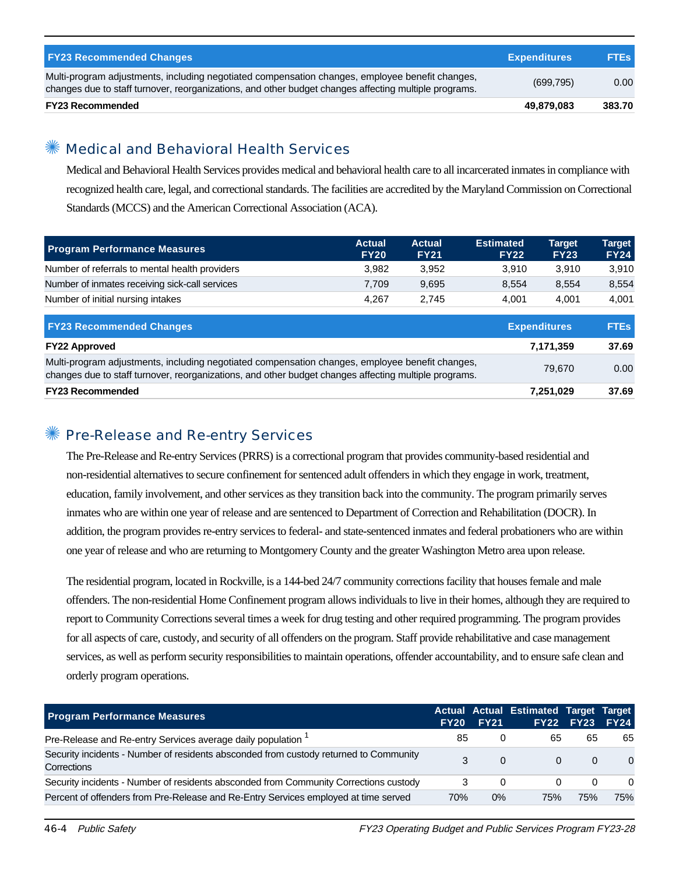| <b>FY23 Recommended Changes</b>                                                                                                                                                                          | <b>Expenditures</b> | <b>FTEs</b> |
|----------------------------------------------------------------------------------------------------------------------------------------------------------------------------------------------------------|---------------------|-------------|
| Multi-program adjustments, including negotiated compensation changes, employee benefit changes,<br>changes due to staff turnover, reorganizations, and other budget changes affecting multiple programs. | (699, 795)          | 0.00        |
| <b>FY23 Recommended</b>                                                                                                                                                                                  | 49.879.083          | 383.70      |

## Medical and Behavioral Health Services

Medical and Behavioral Health Services provides medical and behavioral health care to all incarcerated inmates in compliance with recognized health care, legal, and correctional standards. The facilities are accredited by the Maryland Commission on Correctional Standards (MCCS) and the American Correctional Association (ACA).

| <b>Program Performance Measures</b>                                                                                                                                                                      | <b>Actual</b><br><b>FY20</b> | <b>Actual</b><br><b>FY21</b> | <b>Estimated</b><br><b>FY22</b> | <b>Target</b><br><b>FY23</b> | <b>Target</b><br><b>FY24</b> |
|----------------------------------------------------------------------------------------------------------------------------------------------------------------------------------------------------------|------------------------------|------------------------------|---------------------------------|------------------------------|------------------------------|
| Number of referrals to mental health providers                                                                                                                                                           | 3,982                        | 3,952                        | 3.910                           | 3,910                        | 3,910                        |
| Number of inmates receiving sick-call services                                                                                                                                                           | 7,709                        | 9,695                        | 8,554                           | 8,554                        | 8,554                        |
| Number of initial nursing intakes                                                                                                                                                                        | 4,267                        | 2,745                        | 4.001                           | 4.001                        | 4,001                        |
| <b>FY23 Recommended Changes</b>                                                                                                                                                                          |                              |                              |                                 | <b>Expenditures</b>          | <b>FTEs</b>                  |
| <b>FY22 Approved</b>                                                                                                                                                                                     |                              |                              |                                 | 7,171,359                    | 37.69                        |
| Multi-program adjustments, including negotiated compensation changes, employee benefit changes,<br>changes due to staff turnover, reorganizations, and other budget changes affecting multiple programs. |                              | 79.670                       | 0.00                            |                              |                              |
| <b>FY23 Recommended</b>                                                                                                                                                                                  |                              |                              |                                 | 7,251,029                    | 37.69                        |

#### ✺ Pre-Release and Re-entry Services

The Pre-Release and Re-entry Services (PRRS) is a correctional program that provides community-based residential and non-residential alternatives to secure confinement for sentenced adult offenders in which they engage in work, treatment, education, family involvement, and other services as they transition back into the community. The program primarily serves inmates who are within one year of release and are sentenced to Department of Correction and Rehabilitation (DOCR). In addition, the program provides re-entry services to federal- and state-sentenced inmates and federal probationers who are within one year of release and who are returning to Montgomery County and the greater Washington Metro area upon release.

The residential program, located in Rockville, is a 144-bed 24/7 community corrections facility that houses female and male offenders. The non-residential Home Confinement program allows individuals to live in their homes, although they are required to report to Community Corrections several times a week for drug testing and other required programming. The program provides for all aspects of care, custody, and security of all offenders on the program. Staff provide rehabilitative and case management services, as well as perform security responsibilities to maintain operations, offender accountability, and to ensure safe clean and orderly program operations.

| <b>Program Performance Measures</b>                                                                  | <b>FY20</b> | <b>FY21</b> | Actual Actual Estimated Target Target | <b>FY22 FY23</b> | <b>FY24</b> |
|------------------------------------------------------------------------------------------------------|-------------|-------------|---------------------------------------|------------------|-------------|
| Pre-Release and Re-entry Services average daily population <sup>1</sup>                              | 85          | 0           | 65                                    | 65               | 65          |
| Security incidents - Number of residents absconded from custody returned to Community<br>Corrections | 3           | 0           | $\Omega$                              | $\Omega$         | $\Omega$    |
| Security incidents - Number of residents absconded from Community Corrections custody                |             | $\Omega$    | $\Omega$                              | 0                | $\Omega$    |
| Percent of offenders from Pre-Release and Re-Entry Services employed at time served                  | 70%         | $0\%$       | 75%                                   | 75%              | 75%         |

46-4 Public Safety FY23 Operating Budget and Public Services Program FY23-28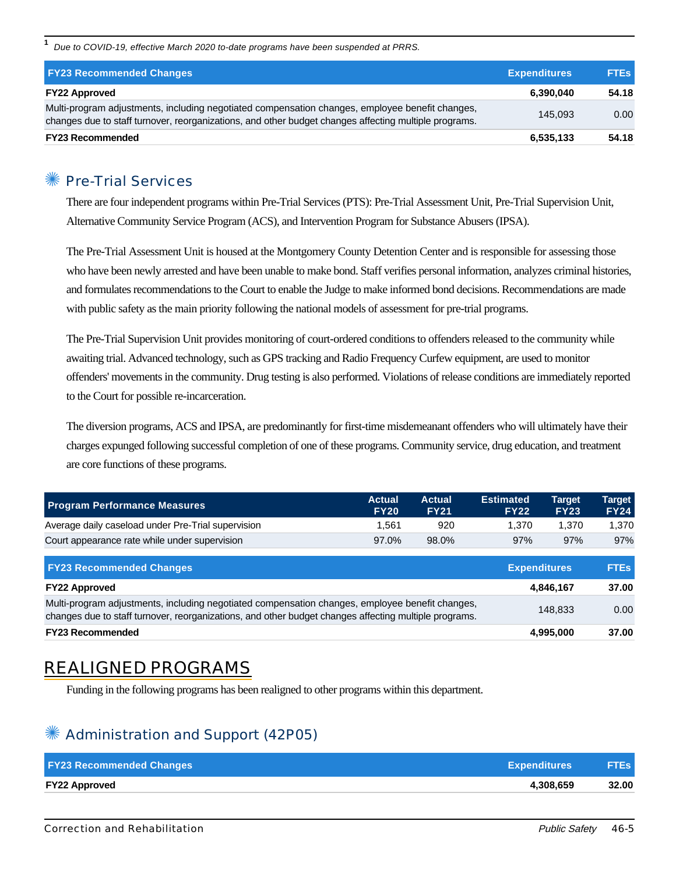**1** Due to COVID-19, effective March 2020 to-date programs have been suspended at PRRS.

| <b>FY23 Recommended Changes</b>                                                                                                                                                                          | <b>Expenditures</b> | <b>FTEs</b> |
|----------------------------------------------------------------------------------------------------------------------------------------------------------------------------------------------------------|---------------------|-------------|
| <b>FY22 Approved</b>                                                                                                                                                                                     | 6.390.040           | 54.18       |
| Multi-program adjustments, including negotiated compensation changes, employee benefit changes,<br>changes due to staff turnover, reorganizations, and other budget changes affecting multiple programs. | 145.093             | 0.00        |
| <b>FY23 Recommended</b>                                                                                                                                                                                  | 6,535,133           | 54.18       |

#### ✺ Pre-Trial Services

There are four independent programs within Pre-Trial Services (PTS): Pre-Trial Assessment Unit, Pre-Trial Supervision Unit, Alternative Community Service Program (ACS), and Intervention Program for Substance Abusers (IPSA).

The Pre-Trial Assessment Unit is housed at the Montgomery County Detention Center and is responsible for assessing those who have been newly arrested and have been unable to make bond. Staff verifies personal information, analyzes criminal histories, and formulates recommendations to the Court to enable the Judge to make informed bond decisions. Recommendations are made with public safety as the main priority following the national models of assessment for pre-trial programs.

The Pre-Trial Supervision Unit provides monitoring of court-ordered conditions to offenders released to the community while awaiting trial. Advanced technology, such as GPS tracking and Radio Frequency Curfew equipment, are used to monitor offenders' movements in the community. Drug testing is also performed. Violations of release conditions are immediately reported to the Court for possible re-incarceration.

The diversion programs, ACS and IPSA, are predominantly for first-time misdemeanant offenders who will ultimately have their charges expunged following successful completion of one of these programs. Community service, drug education, and treatment are core functions of these programs.

| <b>Program Performance Measures</b>                                                                | <b>Actual</b><br><b>FY20</b> | <b>Actual</b><br><b>FY21</b> | <b>Estimated</b><br><b>FY22</b> | <b>Target</b><br><b>FY23</b> | Target<br><b>FY24</b> |
|----------------------------------------------------------------------------------------------------|------------------------------|------------------------------|---------------------------------|------------------------------|-----------------------|
| Average daily caseload under Pre-Trial supervision                                                 | 1.561                        | 920                          | 1.370                           | 1.370                        | 1,370                 |
| Court appearance rate while under supervision                                                      | 97.0%                        | 98.0%                        | 97%                             | 97%                          | 97%                   |
| <b>FY23 Recommended Changes</b>                                                                    |                              |                              | <b>Expenditures</b>             |                              | <b>FTEs</b>           |
| <b>FY22 Approved</b>                                                                               |                              |                              |                                 | 4,846,167                    | 37.00                 |
| .<br>$\sim$ $\sim$ $\sim$ $\sim$ $\sim$ $\sim$<br>$\sim$ $\sim$ $\sim$ $\sim$ $\sim$ $\sim$ $\sim$ |                              |                              |                                 |                              |                       |

| <b>FY23 Recommended</b>                                                                               | 4.995.000 | 37.00 |
|-------------------------------------------------------------------------------------------------------|-----------|-------|
| changes due to staff turnover, reorganizations, and other budget changes affecting multiple programs. |           |       |
| Multi-program adjustments, including negotiated compensation changes, employee benefit changes,       | 148.833   | 0.00  |

# REALIGNED PROGRAMS

Funding in the following programs has been realigned to other programs within this department.

## ✺ Administration and Support (42P05)

| <b>FY23 Recommended Changes</b> | <b>Expenditures</b> | <b>FTEs</b> |
|---------------------------------|---------------------|-------------|
| <b>FY22 Approved</b>            | 4.308.659           | 32.00       |
|                                 |                     |             |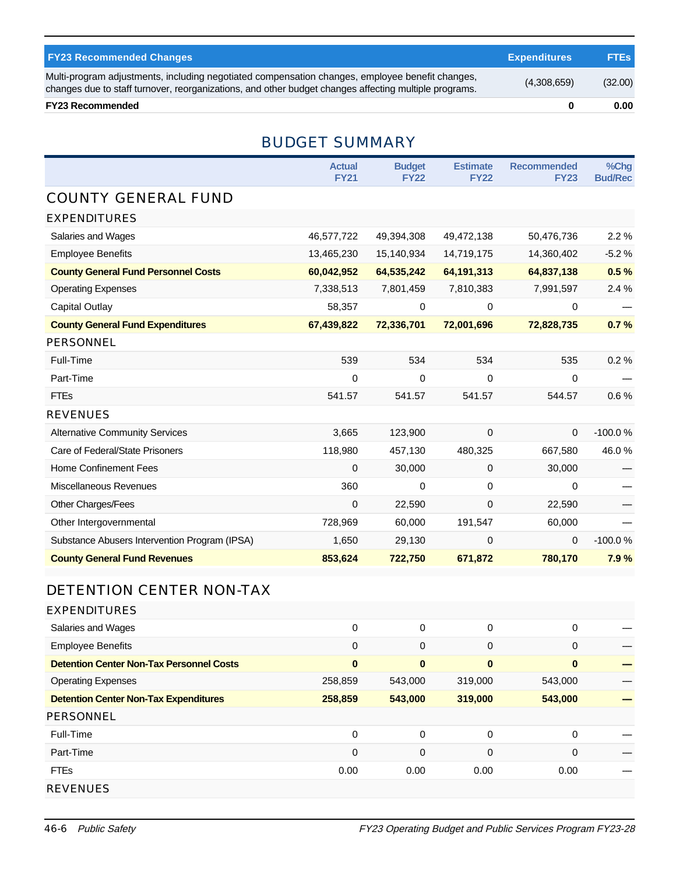| <b>FY23 Recommended Changes</b>                                                                                                                                                                          | <b>Expenditures</b> | <b>FTEs</b> |
|----------------------------------------------------------------------------------------------------------------------------------------------------------------------------------------------------------|---------------------|-------------|
| Multi-program adjustments, including negotiated compensation changes, employee benefit changes,<br>changes due to staff turnover, reorganizations, and other budget changes affecting multiple programs. | (4,308,659)         | (32.00)     |
| <b>FY23 Recommended</b>                                                                                                                                                                                  |                     | 0.00        |

## BUDGET SUMMARY

|                                               | <b>Actual</b><br><b>FY21</b> | <b>Budget</b><br><b>FY22</b> | <b>Estimate</b><br><b>FY22</b> | <b>Recommended</b><br><b>FY23</b> | %Chg<br><b>Bud/Rec</b> |
|-----------------------------------------------|------------------------------|------------------------------|--------------------------------|-----------------------------------|------------------------|
| <b>COUNTY GENERAL FUND</b>                    |                              |                              |                                |                                   |                        |
| <b>EXPENDITURES</b>                           |                              |                              |                                |                                   |                        |
| Salaries and Wages                            | 46,577,722                   | 49,394,308                   | 49,472,138                     | 50,476,736                        | 2.2%                   |
| <b>Employee Benefits</b>                      | 13,465,230                   | 15,140,934                   | 14,719,175                     | 14,360,402                        | $-5.2%$                |
| <b>County General Fund Personnel Costs</b>    | 60,042,952                   | 64,535,242                   | 64,191,313                     | 64,837,138                        | 0.5%                   |
| <b>Operating Expenses</b>                     | 7,338,513                    | 7,801,459                    | 7,810,383                      | 7,991,597                         | 2.4 %                  |
| <b>Capital Outlay</b>                         | 58,357                       | $\mathbf 0$                  | 0                              | 0                                 |                        |
| <b>County General Fund Expenditures</b>       | 67,439,822                   | 72,336,701                   | 72,001,696                     | 72,828,735                        | 0.7%                   |
| <b>PERSONNEL</b>                              |                              |                              |                                |                                   |                        |
| Full-Time                                     | 539                          | 534                          | 534                            | 535                               | 0.2%                   |
| Part-Time                                     | $\mathbf 0$                  | 0                            | 0                              | 0                                 |                        |
| <b>FTEs</b>                                   | 541.57                       | 541.57                       | 541.57                         | 544.57                            | 0.6%                   |
| <b>REVENUES</b>                               |                              |                              |                                |                                   |                        |
| <b>Alternative Community Services</b>         | 3,665                        | 123,900                      | 0                              | $\Omega$                          | $-100.0%$              |
| Care of Federal/State Prisoners               | 118,980                      | 457,130                      | 480,325                        | 667,580                           | 46.0%                  |
| <b>Home Confinement Fees</b>                  | $\pmb{0}$                    | 30,000                       | 0                              | 30,000                            |                        |
| Miscellaneous Revenues                        | 360                          | 0                            | 0                              | 0                                 |                        |
| Other Charges/Fees                            | $\mathbf 0$                  | 22,590                       | 0                              | 22,590                            |                        |
| Other Intergovernmental                       | 728,969                      | 60,000                       | 191,547                        | 60,000                            |                        |
| Substance Abusers Intervention Program (IPSA) | 1,650                        | 29,130                       | 0                              | $\mathbf 0$                       | $-100.0%$              |
| <b>County General Fund Revenues</b>           | 853,624                      | 722,750                      | 671,872                        | 780,170                           | 7.9%                   |

# DETENTION CENTER NON-TAX

| <b>EXPENDITURES</b>                             |          |              |             |          |  |
|-------------------------------------------------|----------|--------------|-------------|----------|--|
| Salaries and Wages                              | 0        | 0            | 0           | $\Omega$ |  |
| <b>Employee Benefits</b>                        | 0        | 0            | 0           | 0        |  |
| <b>Detention Center Non-Tax Personnel Costs</b> | $\bf{0}$ | $\mathbf{0}$ | $\bf{0}$    | $\bf{0}$ |  |
| <b>Operating Expenses</b>                       | 258,859  | 543,000      | 319,000     | 543,000  |  |
| <b>Detention Center Non-Tax Expenditures</b>    | 258,859  | 543,000      | 319,000     | 543,000  |  |
| PERSONNEL                                       |          |              |             |          |  |
| Full-Time                                       | 0        | $\Omega$     | 0           | 0        |  |
| Part-Time                                       | 0        | 0            | $\mathbf 0$ | 0        |  |
| <b>FTEs</b>                                     | 0.00     | 0.00         | 0.00        | 0.00     |  |
| <b>REVENUES</b>                                 |          |              |             |          |  |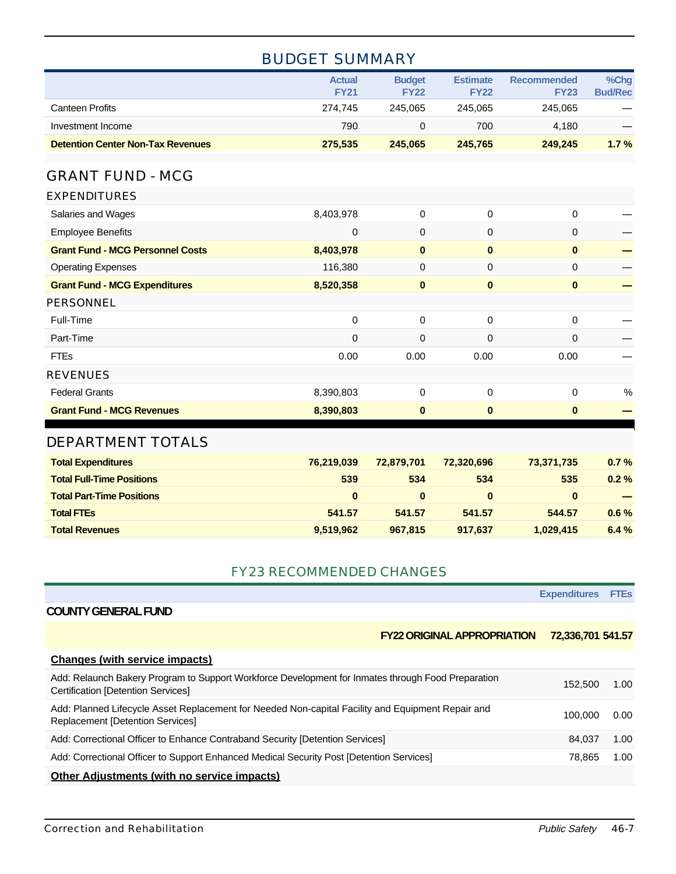# BUDGET SUMMARY

|                                          | <b>Actual</b><br><b>FY21</b> | <b>Budget</b><br><b>FY22</b> | <b>Estimate</b><br><b>FY22</b> | <b>Recommended</b><br><b>FY23</b> | $%$ Chg<br><b>Bud/Rec</b> |
|------------------------------------------|------------------------------|------------------------------|--------------------------------|-----------------------------------|---------------------------|
| Canteen Profits                          | 274.745                      | 245.065                      | 245.065                        | 245.065                           |                           |
| Investment Income                        | 790                          |                              | 700                            | 4.180                             |                           |
| <b>Detention Center Non-Tax Revenues</b> | 275.535                      | 245.065                      | 245.765                        | 249.245                           | $1.7\%$                   |

#### GRANT FUND - MCG

| <b>EXPENDITURES</b>                     |           |             |             |          |   |
|-----------------------------------------|-----------|-------------|-------------|----------|---|
| Salaries and Wages                      | 8,403,978 | $\mathbf 0$ | 0           | 0        |   |
| <b>Employee Benefits</b>                | 0         | $\mathbf 0$ | 0           | 0        |   |
| <b>Grant Fund - MCG Personnel Costs</b> | 8,403,978 | $\bf{0}$    | $\bf{0}$    | $\bf{0}$ |   |
| <b>Operating Expenses</b>               | 116,380   | $\mathbf 0$ | $\mathbf 0$ | 0        |   |
| <b>Grant Fund - MCG Expenditures</b>    | 8,520,358 | $\bf{0}$    | $\bf{0}$    | $\bf{0}$ |   |
| PERSONNEL                               |           |             |             |          |   |
| Full-Time                               | $\Omega$  | $\Omega$    | 0           | $\Omega$ |   |
| Part-Time                               | 0         | $\mathbf 0$ | 0           | $\Omega$ |   |
| <b>FTEs</b>                             | 0.00      | 0.00        | 0.00        | 0.00     |   |
| <b>REVENUES</b>                         |           |             |             |          |   |
| <b>Federal Grants</b>                   | 8,390,803 | $\Omega$    | 0           | $\Omega$ | % |
| <b>Grant Fund - MCG Revenues</b>        | 8,390,803 | $\bf{0}$    | $\bf{0}$    | $\bf{0}$ |   |
|                                         |           |             |             |          |   |

#### DEPARTMENT TOTALS

| <b>Total Expenditures</b>        | 76,219,039 | 72.879.701 | 72.320.696 | 73,371,735 | $0.7 \%$ |
|----------------------------------|------------|------------|------------|------------|----------|
| <b>Total Full-Time Positions</b> | 539        | 534        | 534        | 535        | $0.2 \%$ |
| <b>Total Part-Time Positions</b> | $\bf{0}$   | 0          | $\bf{0}$   |            |          |
| <b>Total FTEs</b>                | 541.57     | 541.57     | 541.57     | 544.57     | $0.6\%$  |
| <b>Total Revenues</b>            | 9,519,962  | 967.815    | 917.637    | 1,029,415  | $6.4 \%$ |

#### FY23 RECOMMENDED CHANGES

|                                                                                                                                                 | <b>Expenditures FTES</b> |      |
|-------------------------------------------------------------------------------------------------------------------------------------------------|--------------------------|------|
| <b>COUNTY GENERAL FUND</b>                                                                                                                      |                          |      |
| <b>FY22 ORIGINAL APPROPRIATION</b>                                                                                                              | 72,336,701 541.57        |      |
| Changes (with service impacts)                                                                                                                  |                          |      |
| Add: Relaunch Bakery Program to Support Workforce Development for Inmates through Food Preparation<br><b>Certification [Detention Services]</b> | 152,500                  | 1.00 |
| Add: Planned Lifecycle Asset Replacement for Needed Non-capital Facility and Equipment Repair and<br><b>Replacement [Detention Services]</b>    | 100.000                  | 0.00 |
| Add: Correctional Officer to Enhance Contraband Security [Detention Services]                                                                   | 84.037                   | 1.00 |
| Add: Correctional Officer to Support Enhanced Medical Security Post [Detention Services]                                                        | 78,865                   | 1.00 |
| <b>Other Adjustments (with no service impacts)</b>                                                                                              |                          |      |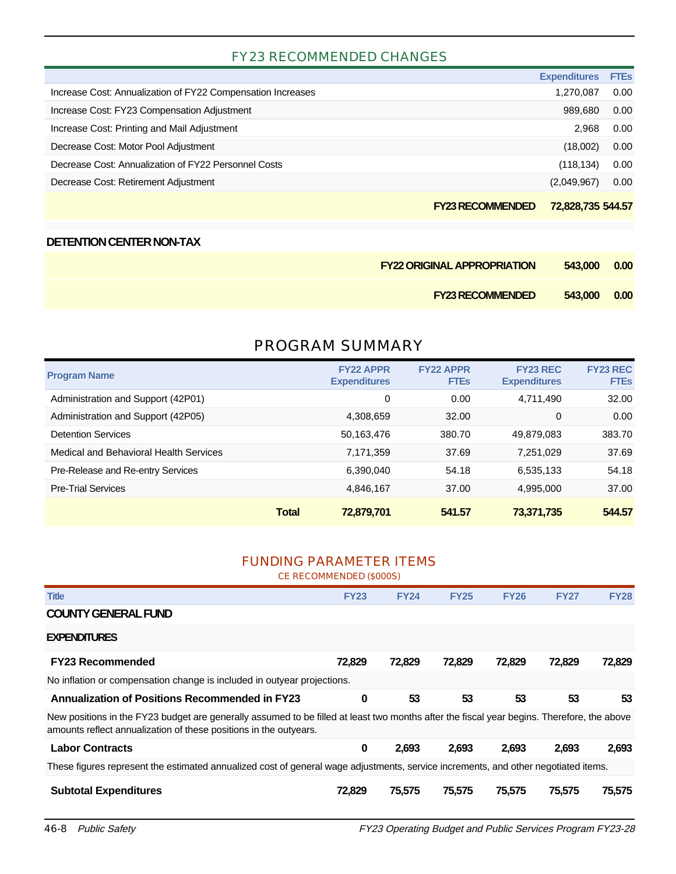## FY23 RECOMMENDED CHANGES

| <b>FY23 RECOMMENDED</b>                                     | 72,828,735 544.57   |             |
|-------------------------------------------------------------|---------------------|-------------|
| Decrease Cost: Retirement Adjustment                        | (2,049,967)         | 0.00        |
| Decrease Cost: Annualization of FY22 Personnel Costs        | (118, 134)          | 0.00        |
| Decrease Cost: Motor Pool Adjustment                        | (18,002)            | 0.00        |
| Increase Cost: Printing and Mail Adjustment                 | 2.968               | 0.00        |
| Increase Cost: FY23 Compensation Adjustment                 | 989.680             | 0.00        |
| Increase Cost: Annualization of FY22 Compensation Increases | 1,270,087           | 0.00        |
|                                                             | <b>Expenditures</b> | <b>FTEs</b> |

#### **DETENTION CENTER NON-TAX**

| <b>FY22 ORIGINAL APPROPRIATION</b> | 543,000 0.00 |  |
|------------------------------------|--------------|--|
| <b>FY23 RECOMMENDED</b>            | 543,000 0.00 |  |

#### PROGRAM SUMMARY

| <b>Program Name</b>                    | <b>FY22 APPR</b><br><b>Expenditures</b> | <b>FY22 APPR</b><br><b>FTEs</b> | <b>FY23 REC</b><br><b>Expenditures</b> | <b>FY23 REC</b><br><b>FTEs</b> |
|----------------------------------------|-----------------------------------------|---------------------------------|----------------------------------------|--------------------------------|
| Administration and Support (42P01)     | 0                                       | 0.00                            | 4,711,490                              | 32.00                          |
| Administration and Support (42P05)     | 4.308.659                               | 32.00                           | 0                                      | 0.00                           |
| <b>Detention Services</b>              | 50,163,476                              | 380.70                          | 49,879,083                             | 383.70                         |
| Medical and Behavioral Health Services | 7,171,359                               | 37.69                           | 7,251,029                              | 37.69                          |
| Pre-Release and Re-entry Services      | 6.390.040                               | 54.18                           | 6,535,133                              | 54.18                          |
| <b>Pre-Trial Services</b>              | 4,846,167                               | 37.00                           | 4,995,000                              | 37.00                          |
|                                        | <b>Total</b><br>72,879,701              | 541.57                          | 73,371,735                             | 544.57                         |

#### FUNDING PARAMETER ITEMS

CE RECOMMENDED (\$000S)

| <b>Title</b>                                                                                                                                                                                                    | <b>FY23</b> | <b>FY24</b> | <b>FY25</b> | <b>FY26</b> | <b>FY27</b> | <b>FY28</b> |
|-----------------------------------------------------------------------------------------------------------------------------------------------------------------------------------------------------------------|-------------|-------------|-------------|-------------|-------------|-------------|
| <b>COUNTY GENERAL FUND</b>                                                                                                                                                                                      |             |             |             |             |             |             |
| <b>EXPENDITURES</b>                                                                                                                                                                                             |             |             |             |             |             |             |
| <b>FY23 Recommended</b>                                                                                                                                                                                         | 72,829      | 72,829      | 72,829      | 72,829      | 72,829      | 72,829      |
| No inflation or compensation change is included in outyear projections.                                                                                                                                         |             |             |             |             |             |             |
| <b>Annualization of Positions Recommended in FY23</b>                                                                                                                                                           | 0           | 53          | 53          | 53          | 53          | 53          |
| New positions in the FY23 budget are generally assumed to be filled at least two months after the fiscal year begins. Therefore, the above<br>amounts reflect annualization of these positions in the outyears. |             |             |             |             |             |             |
| <b>Labor Contracts</b>                                                                                                                                                                                          | 0           | 2.693       | 2,693       | 2.693       | 2.693       | 2,693       |
| These figures represent the estimated annualized cost of general wage adjustments, service increments, and other negotiated items.                                                                              |             |             |             |             |             |             |
| <b>Subtotal Expenditures</b>                                                                                                                                                                                    | 72.829      | 75,575      | 75.575      | 75.575      | 75.575      | 75,575      |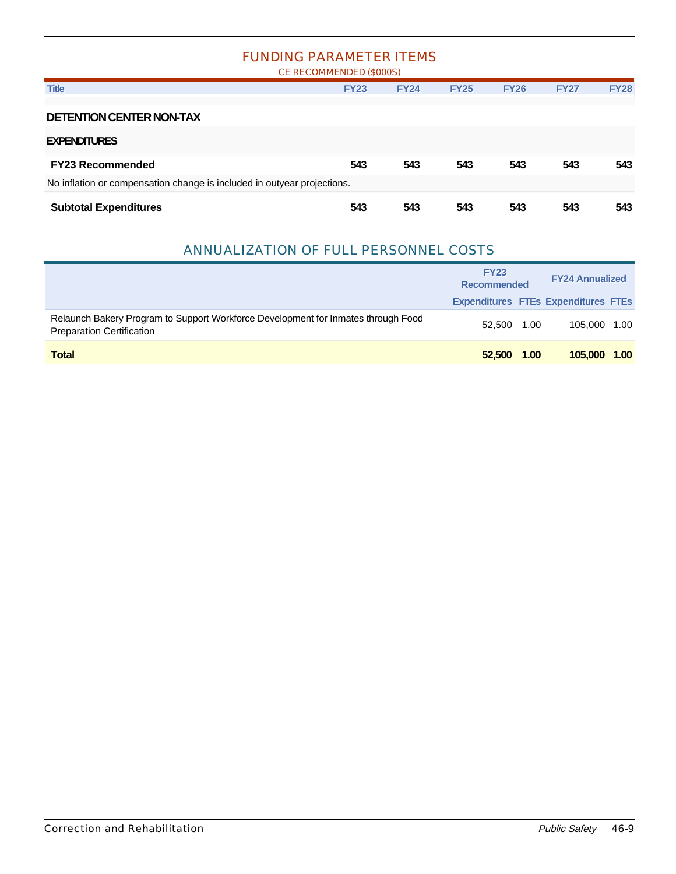#### FUNDING PARAMETER ITEMS

| CE RECOMMENDED (\$000S)                                                                                 |             |             |             |             |             |             |
|---------------------------------------------------------------------------------------------------------|-------------|-------------|-------------|-------------|-------------|-------------|
| <b>Title</b>                                                                                            | <b>FY23</b> | <b>FY24</b> | <b>FY25</b> | <b>FY26</b> | <b>FY27</b> | <b>FY28</b> |
| <b>DETENTION CENTER NON-TAX</b><br><b>EXPENDITURES</b>                                                  |             |             |             |             |             |             |
| <b>FY23 Recommended</b>                                                                                 | 543         | 543         | 543         | 543         | 543         | 543         |
| No inflation or compensation change is included in outyear projections.<br><b>Subtotal Expenditures</b> | 543         | 543         | 543         | 543         | 543         | 543         |

#### ANNUALIZATION OF FULL PERSONNEL COSTS

|                                                                                                                       | <b>FY23</b><br><b>Recommended</b> | <b>FY24 Annualized</b> |                                            |      |
|-----------------------------------------------------------------------------------------------------------------------|-----------------------------------|------------------------|--------------------------------------------|------|
|                                                                                                                       |                                   |                        | <b>Expenditures FTEs Expenditures FTEs</b> |      |
| Relaunch Bakery Program to Support Workforce Development for Inmates through Food<br><b>Preparation Certification</b> | 52.500 1.00                       |                        | 105.000 1.00                               |      |
| <b>Total</b>                                                                                                          | 52,500                            | 1.00                   | 105,000                                    | 1.00 |